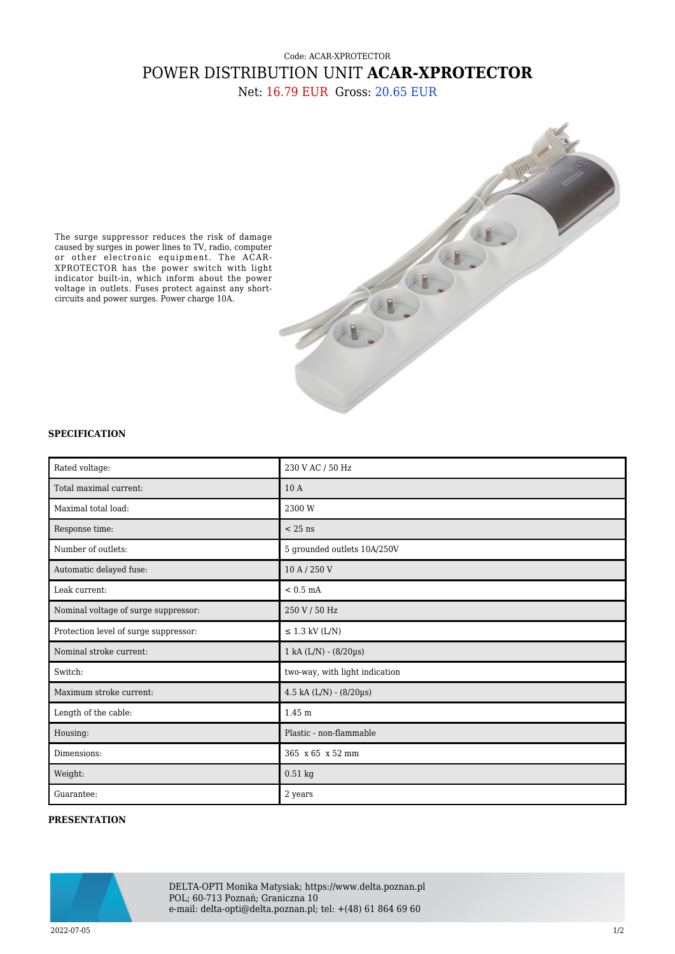## Code: ACAR-XPROTECTOR POWER DISTRIBUTION UNIT **ACAR-XPROTECTOR** Net: 16.79 EUR Gross: 20.65 EUR



The surge suppressor reduces the risk of damage caused by surges in power lines to TV, radio, computer or other electronic equipment. The ACAR-XPROTECTOR has the power switch with light indicator built-in, which inform about the power voltage in outlets. Fuses protect against any shortcircuits and power surges. Power charge 10A.

## **SPECIFICATION**

| Rated voltage:                        | 230 V AC / 50 Hz               |
|---------------------------------------|--------------------------------|
| Total maximal current:                | 10A                            |
| Maximal total load:                   | 2300 W                         |
| Response time:                        | $< 25$ ns                      |
| Number of outlets:                    | 5 grounded outlets 10A/250V    |
| Automatic delayed fuse:               | 10 A / 250 V                   |
| Leak current:                         | $< 0.5$ mA                     |
| Nominal voltage of surge suppressor:  | 250 V / 50 Hz                  |
| Protection level of surge suppressor: | $\leq$ 1.3 kV (L/N)            |
| Nominal stroke current:               | $1$ kA (L/N) - (8/20µs)        |
| Switch:                               | two-way, with light indication |
| Maximum stroke current:               | 4.5 kA (L/N) - (8/20µs)        |
| Length of the cable:                  | 1.45 m                         |
| Housing:                              | Plastic - non-flammable        |
| Dimensions:                           | 365 x 65 x 52 mm               |
| Weight:                               | $0.51$ kg                      |
| Guarantee:                            | 2 years                        |

## **PRESENTATION**



DELTA-OPTI Monika Matysiak; https://www.delta.poznan.pl POL; 60-713 Poznań; Graniczna 10 e-mail: delta-opti@delta.poznan.pl; tel: +(48) 61 864 69 60

2022-07-05 1/2